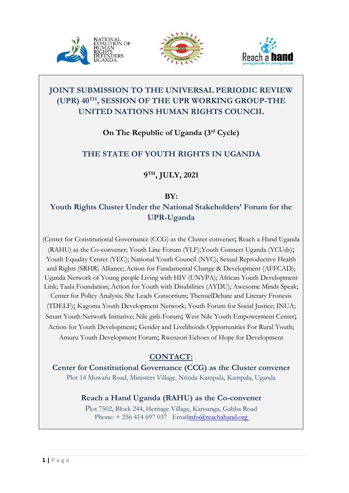





# **JOINT SUBMISSION TO THE UNIVERSAL PERIODIC REVIEW (UPR) <sup>40</sup>TH , SESSION OF THE UPR WORKING GROUP-THE UNITED NATIONS HUMAN RIGHTS COUNCIL**

**On The Republic of Uganda (3rd Cycle)**

# **THE STATE OF YOUTH RIGHTS IN UGANDA**

**9TH , JULY, 2021**

## **BY:**

# **Youth Rights Cluster Under the National Stakeholders' Forum for the UPR-Uganda**

(Center for Constitutional Governance (CCG) as the Cluster convener**;** Reach <sup>a</sup> Hand Uganda (RAHU) as the Co-convener; Youth Line Forum (YLF);Youth Connect Uganda (YCUds)**;** Youth Equality Center (YEC); National Youth Council (NYC); Sexual Reproductive Health and Rights (SRHR) Alliance; Action for Fundamental Change & Development (AFFCAD); Uganda Network of Young people Living with HIV (UNYPA); African Youth Development Link; Taala Foundation; Action for Youth with Disabilities (AYDU); Awesome Minds Speak; Center for Policy Analysis; She Leads Consortium; ThenuelDebate and Literary Fronesis (TDELF)**;** Kagoma Youth Development Network; Youth Forum for Social Justice; INUA; Smart Youth Network Initiative; Nile girls Forum**;** West Nile Youth Empowerment Center**;** Action for Youth Development**;** Gender and Livelihoods Opportunities For Rural Youth; Amuru Youth Development Forum**;** Rwenzori Echoes of Hope for Development

# **CONTACT:**

**Center for Constitutional Governance (CCG) as the Cluster convener** Plot 14 Muwafu Road, Ministers Village, Ntinda Kampala, Kampala, Uganda

# **Reach <sup>a</sup> Hand Uganda (RAHU) as the Co-convener**

Plot 7502, Block 244, Heritage Village, Kansanga, Gabba Road Phone:  $+256414697037$  $+256414697037$  Emailinfo@reachahand.org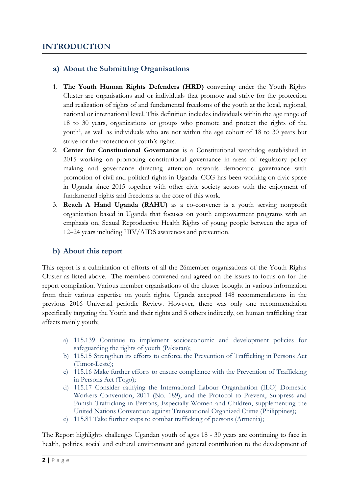## **a) About the Submitting Organisations**

- 1. **The Youth Human Rights Defenders (HRD)** convening under the Youth Rights Cluster are organisations and or individuals that promote and strive for the protection and realization of rights of and fundamental freedoms of the youth at the local, regional, national or international level. This definition includes individuals within the age range of 18 to 30 years, organizations or groups who promote and protect the rights of the youth<sup>1</sup>, as well as individuals who are not within the age cohort of 18 to 30 years but strive for the protection of youth'<sup>s</sup> rights.
- 2. **Center for Constitutional Governance** is <sup>a</sup> Constitutional watchdog established in 2015 working on promoting constitutional governance in areas of regulatory policy making and governance directing attention towards democratic governance with promotion of civil and political rights in Uganda. CCG has been working on civic space in Uganda since 2015 together with other civic society actors with the enjoyment of fundamental rights and freedoms at the core of this work.
- 3. **Reach A Hand Uganda (RAHU)** as <sup>a</sup> co-convener is <sup>a</sup> youth serving nonprofit organization based in Uganda that focuses on youth empowerment programs with an emphasis on, Sexual Reproductive Health Rights of young people between the ages of <sup>12</sup>–<sup>24</sup> years including HIV/AIDS awareness and prevention.

## **b) About this report**

This report is <sup>a</sup> culmination of efforts of all the 26member organisations of the Youth Rights Cluster as listed above. The members convened and agreed on the issues to focus on for the report compilation. Various member organisations of the cluster brought in various information from their various expertise on youth rights. Uganda accepted 148 recommendations in the previous 2016 Universal periodic Review. However, there was only one recommendation specifically targeting the Youth and their rights and 5 others indirectly, on human trafficking that affects mainly youth;

- a) 115.139 Continue to implement socioeconomic and development policies for safeguarding the rights of youth (Pakistan);
- b) 115.15 Strengthen its efforts to enforce the Prevention of Trafficking in Persons Act (Timor-Leste);
- c) 115.16 Make further efforts to ensure compliance with the Prevention of Trafficking in Persons Act (Togo);
- d) 115.17 Consider ratifying the International Labour Organization (ILO) Domestic Workers Convention, 2011 (No. 189), and the Protocol to Prevent, Suppress and Punish Trafficking in Persons, Especially Women and Children, supplementing the United Nations Convention against Transnational Organized Crime (Philippines);
- e) 115.81 Take further steps to combat trafficking of persons (Armenia);

The Report highlights challenges Ugandan youth of ages 18 - 30 years are continuing to face in health, politics, social and cultural environment and general contribution to the development of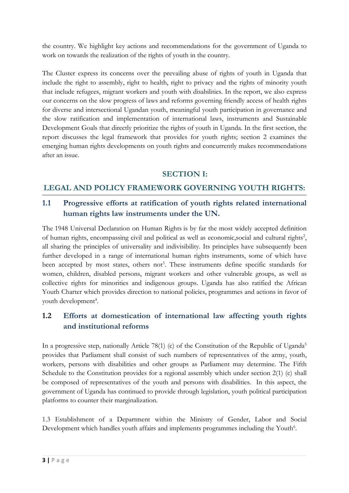the country. We highlight key actions and recommendations for the government of Uganda to work on towards the realization of the rights of youth in the country.

The Cluster express its concerns over the prevailing abuse of rights of youth in Uganda that include the right to assembly, right to health, right to privacy and the rights of minority youth that include refugees, migrant workers and youth with disabilities. In the report, we also express our concerns on the slow progress of laws and reforms governing friendly access of health rights for diverse and intersectional Ugandan youth, meaningful youth participation in governance and the slow ratification and implementation of international laws, instruments and Sustainable Development Goals that directly prioritize the rights of youth in Uganda. In the first section, the report discusses the legal framework that provides for youth rights; section <sup>2</sup> examines the emerging human rights developments on youth rights and concurrently makes recommendations after an issue.

### **SECTION I:**

## **LEGAL AND POLICY FRAMEWORK GOVERNING YOUTH RIGHTS:**

## **1.1 Progressive efforts at ratification of youth rights related international human rights law instruments under the UN.**

The 1948 Universal Declaration on Human Rights is by far the most widely accepted definition of human rights, encompassing civil and political as well as economic,social and cultural rights 2 , all sharing the principles of universality and indivisibility. Its principles have subsequently been further developed in <sup>a</sup> range of international human rights instruments, some of which have been accepted by most states, others not<sup>3</sup>. These instruments define specific standards for women, children, disabled persons, migrant workers and other vulnerable groups, as well as collective rights for minorities and indigenous groups. Uganda has also ratified the African Youth Charter which provides direction to national policies, programmes and actions in favor of youth development 4 .

## **1.2 Efforts at domestication of international law affecting youth rights and institutional reforms**

In <sup>a</sup> progressive step, nationally Article 78(1) (c) of the Constitution of the Republic of Uganda 5 provides that Parliament shall consist of such numbers of representatives of the army, youth, workers, persons with disabilities and other groups as Parliament may determine. The Fifth Schedule to the Constitution provides for <sup>a</sup> regional assembly which under section 2(1) (c) shall be composed of representatives of the youth and persons with disabilities. In this aspect, the government of Uganda has continued to provide through legislation, youth political participation platforms to counter their marginalization.

1.3 Establishment of <sup>a</sup> Department within the Ministry of Gender, Labor and Social Development which handles youth affairs and implements programmes including the  $\rm Youth^6$ .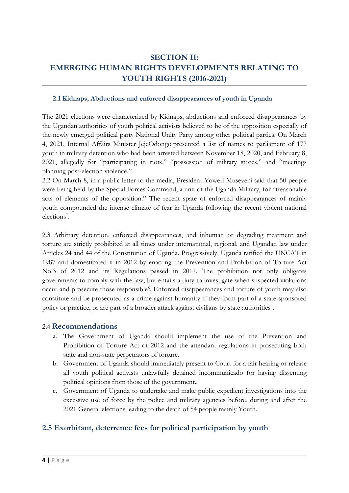# **SECTION II: EMERGING HUMAN RIGHTS DEVELOPMENTS RELATING TO YOUTH RIGHTS (2016-2021)**

#### **2.1 Kidnaps, Abductions and enforced disappearances of youth in Uganda**

The 2021 elections were characterized by Kidnaps, abductions and enforced disappearances by the Ugandan authorities of youth political activists believed to be of the opposition especially of the newly emerged political party National Unity Party among other political parties. On March 4, 2021, Internal Affairs Minister JejeOdongo presented <sup>a</sup> list of names to parliament of 177 youth in military detention who had been arrested between November 18, 2020, and February 8, 2021, allegedly for "participating in riots," "possession of military stores," and "meetings planning post-election violence."

2.2 On March 8, in <sup>a</sup> public letter to the media, President Yoweri Museveni said that 50 people were being held by the Special Forces Command, <sup>a</sup> unit of the Uganda Military, for "treasonable acts of elements of the opposition." The recent spate of enforced disappearances of mainly youth compounded the intense climate of fear in Uganda following the recent violent national elections 7 .

2.3 Arbitrary detention, enforced disappearances, and inhuman or degrading treatment and torture are strictly prohibited at all times under international, regional, and Ugandan law under Articles 24 and 44 of the Constitution of Uganda. Progressively, Uganda ratified the UNCAT in 1987 and domesticated it in 2012 by enacting the Prevention and Prohibition of Torture Act No.3 of 2012 and its Regulations passed in 2017. The prohibition not only obligates governments to comply with the law, but entails <sup>a</sup> duty to investigate when suspected violations occur and prosecute those responsible 8 . Enforced disappearances and torture of youth may also constitute and be prosecuted as <sup>a</sup> crime against humanity if they form part of <sup>a</sup> state-sponsored policy or practice, or are part of a broader attack against civilians by state authorities<sup>9</sup>.

#### 2.4 **Recommendations**

- a. The Government of Uganda should implement the use of the Prevention and Prohibition of Torture Act of 2012 and the attendant regulations in prosecuting both state and non-state perpetrators of torture.
- b. Government of Uganda should immediately present to Court for <sup>a</sup> fair hearing or release all youth political activists unlawfully detained incommunicado for having dissenting political opinions from those of the government..
- c. Government of Uganda to undertake and make public expedient investigations into the excessive use of force by the police and military agencies before, during and after the 2021 General elections leading to the death of 54 people mainly Youth.

### **2.5 Exorbitant, deterrence fees for political participation by youth**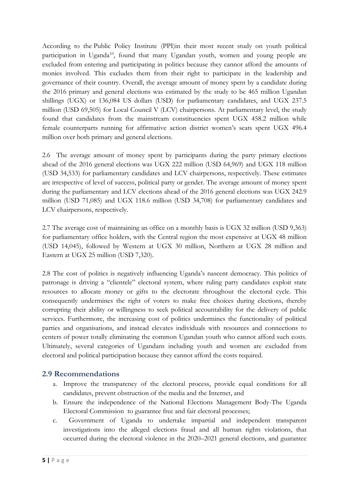According to the Public Policy Institute (PPI)in their most recent study on youth political participation in Uganda<sup>10</sup>, found that many Ugandan youth, women and young people are excluded from entering and participating in politics because they cannot afford the amounts of monies involved. This excludes them from their right to participate in the leadership and governance of their country. Overall, the average amount of money spent by <sup>a</sup> candidate during the 2016 primary and general elections was estimated by the study to be 465 million Ugandan shillings (UGX) or 136,084 US dollars (USD) for parliamentary candidates, and UGX 237.5 million (USD 69,505) for Local Council V (LCV) chairpersons. At parliamentary level, the study found that candidates from the mainstream constituencies spent UGX 458.2 million while female counterparts running for affirmative action district women'<sup>s</sup> seats spent UGX 496.4 million over both primary and general elections.

2.6 The average amount of money spent by participants during the party primary elections ahead of the 2016 general elections was UGX <sup>222</sup> million (USD 64,969) and UGX 118 million (USD 34,533) for parliamentary candidates and LCV chairpersons, respectively. These estimates are irrespective of level of success, political party or gender. The average amount of money spent during the parliamentary and LCV elections ahead of the 2016 general elections was UGX 242.9 million (USD 71,085) and UGX 118.6 million (USD 34,708) for parliamentary candidates and LCV chairpersons, respectively.

2.7 The average cost of maintaining an office on <sup>a</sup> monthly basis is UGX 32 million (USD 9,363) for parliamentary office holders, with the Central region the most expensive at UGX 48 million (USD 14,045), followed by Western at UGX 30 million, Northern at UGX 28 million and Eastern at UGX 25 million (USD 7,320).

2.8 The cost of politics is negatively influencing Uganda'<sup>s</sup> nascent democracy. This politics of patronage is driving <sup>a</sup> "clientele" electoral system, where ruling party candidates exploit state resources to allocate money or gifts to the electorate throughout the electoral cycle. This consequently undermines the right of voters to make free choices during elections, thereby corrupting their ability or willingness to seek political accountability for the delivery of public services. Furthermore, the increasing cost of politics undermines the functionality of political parties and organisations, and instead elevates individuals with resources and connections to centers of power totally eliminating the common Ugandan youth who cannot afford such costs. Ultimately, several categories of Ugandans including youth and women are excluded from electoral and political participation because they cannot afford the costs required.

## **2.9 Recommendations**

- a. Improve the transparency of the electoral process, provide equal conditions for all candidates, prevent obstruction of the media and the Internet, and
- b. Ensure the independence of the National Elections Management Body-The Uganda Electoral Commission to guarantee free and fair electoral processes;
- c. Government of Uganda to undertake impartial and independent transparent investigations into the alleged elections fraud and all human rights violations, that occurred during the electoral violence in the 2020–2021 general elections, and guarantee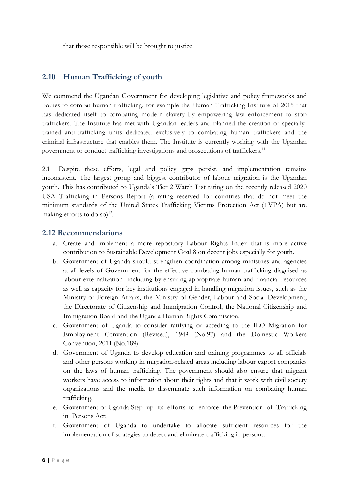that those responsible will be brought to justice

### **2.10 Human Trafficking of youth**

We commend the Ugandan Government for developing legislative and policy frameworks and bodies to combat human trafficking, for example the Human [Trafficking](https://www.traffickinginstitute.org/what-we-do/) Institute [of](https://www.traffickinginstitute.org/what-we-do/) 2015 that has dedicated itself to combating modern slavery by empowering law enforcement to stop traffickers. The Institute has met with [Ugandan](https://www.traffickinginstitute.org/uganda/) leaders and planned the creation of speciallytrained anti-trafficking units dedicated exclusively to combating human traffickers and the criminal infrastructure that enables them. The Institute is currently working with the Ugandan government to conduct trafficking investigations and prosecutions of traffickers. 11

2.11 Despite these efforts, legal and policy gaps persist, and implementation remains inconsistent. The largest group and biggest contributor of labour migration is the Ugandan youth. This has contributed to Uganda'<sup>s</sup> Tier <sup>2</sup> Watch List rating on the recently released 2020 USA Trafficking in Persons Report (a rating reserved for countries that do not meet the minimum standards of the United States Trafficking Victims Protection Act (TVPA) but are making efforts to do so) $^{12}$ .

#### **2.12 Recommendations**

- a. Create and implement <sup>a</sup> more repository Labour Rights Index that is more active contribution to Sustainable Development Goal 8 on decent jobs especially for youth.
- b. Government of Uganda should strengthen coordination among ministries and agencies at all levels of Government for the effective combating human trafficking disguised as labour externalization including by ensuring appropriate human and financial resources as well as capacity for key institutions engaged in handling migration issues, such as the Ministry of Foreign Affairs, the Ministry of Gender, Labour and Social Development, the Directorate of Citizenship and Immigration Control, the National Citizenship and Immigration Board and the Uganda Human Rights Commission.
- c. Government of Uganda to consider ratifying or acceding to the ILO Migration for Employment Convention (Revised), 1949 (No.97) and the Domestic Workers Convention, 2011 (No.189).
- d. Government of Uganda to develop education and training programmes to all officials and other persons working in migration-related areas including labour export companies on the laws of human trafficking. The government should also ensure that migrant workers have access to information about their rights and that it work with civil society organizations and the media to disseminate such information on combating human trafficking.
- e. Government of Uganda Step up its efforts to enforce the Prevention of Trafficking in Persons Act;
- f. Government of Uganda to undertake to allocate sufficient resources for the implementation of strategies to detect and eliminate trafficking in persons;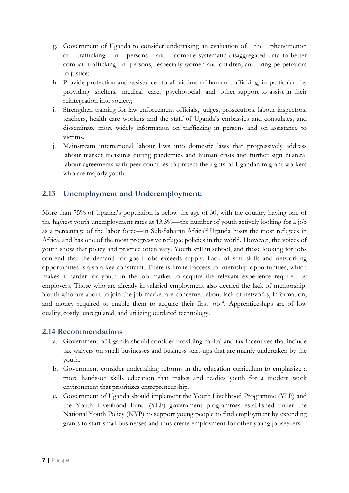- g. Government of Uganda to consider undertaking an evaluation of the phenomenon of trafficking in persons and compile systematic disaggregated data to better combat trafficking in persons, especially women and children, and bring perpetrators to justice;
- h. Provide protection and assistance to all victims of human trafficking, in particular by providing shelters, medical care, psychosocial and other support to assist in their reintegration into society;
- i. Strengthen training for law enforcement officials, judges, prosecutors, labour inspectors, teachers, health care workers and the staff of Uganda'<sup>s</sup> embassies and consulates, and disseminate more widely information on trafficking in persons and on assistance to victims.
- j. Mainstream international labour laws into domestic laws that progressively address labour market measures during pandemics and human crisis and further sign bilateral labour agreements with peer countries to protect the rights of Ugandan migrant workers who are majorly youth.

## **2.13 Unemployment and Underemployment:**

More than 75% of Uganda'<sup>s</sup> population is below the age of 30, with the country having one of the highest youth unemployment rates at 13.3%—the number of youth actively looking for <sup>a</sup> job as a percentage of the labor force—in Sub-Saharan Africa<sup>13</sup>.Uganda hosts the most refugees in Africa, and has one of the most progressive refugee policies in the world. However, the voices of youth show that policy and practice often vary. Youth still in school, and those looking for jobs contend that the demand for good jobs exceeds supply. Lack of soft skills and networking opportunities is also <sup>a</sup> key constraint. There is limited access to internship opportunities, which makes it harder for youth in the job market to acquire the relevant experience required by employers. Those who are already in salaried employment also decried the lack of mentorship. Youth who are about to join the job market are concerned about lack of networks, information, and money required to enable them to acquire their first job<sup>14</sup>. Apprenticeships are of low quality, costly, unregulated, and utilizing outdated technology.

### **2.14 Recommendations**

- a. Government of Uganda should consider providing capital and tax incentives that include tax waivers on small businesses and business start-ups that are mainly undertaken by the youth.
- b. Government consider undertaking reforms in the education curriculum to emphasize <sup>a</sup> more hands-on skills education that makes and readies youth for <sup>a</sup> modern work environment that prioritizes entrepreneurship.
- c. Government of Uganda should implement the Youth Livelihood Programme (YLP) and the Youth Livelihood Fund (YLF) government programmes established under the National Youth Policy (NYP) to support young people to find employment by extending grants to start small businesses and thus create employment for other young jobseekers.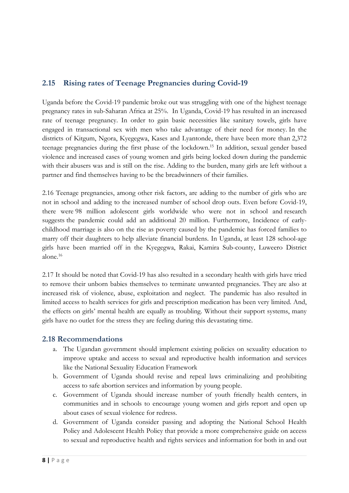## **2.15 Rising rates of Teenage Pregnancies during Covid-19**

Uganda before the Covid-19 pandemic broke out was struggling with one of the highest teenage pregnancy rates in sub-Saharan Africa at 25%. In Uganda, Covid-19 has resulted in an increased rate of teenage pregnancy. In order to gain basic necessities like sanitary towels, girls have engaged in transactional sex with men who take advantage of their need for money. In the districts of Kitgum, Ngora, Kyegegwa, Kases and Lyantonde, there have been more than 2,372 teenage pregnancies during the first phase of the lockdown. 15 In addition, sexual gender based violence and increased cases of young women and girls being locked down during the pandemic with their abusers was and is still on the rise. Adding to the burden, many girls are left without <sup>a</sup> partner and find themselves having to be the breadwinners of their families.

2.16 Teenage pregnancies, among other risk factors, are adding to the number of girls who are not in school and adding to the increased number of school drop outs. Even before Covid-19, there were 98 million adolescent girls worldwide who were not in school and research suggests the pandemic could add an additional 20 million. Furthermore, Incidence of earlychildhood marriage is also on the rise as poverty caused by the pandemic has forced families to marry off their daughters to help alleviate financial burdens. In Uganda, at least 128 school-age girls have been married off in the Kyegegwa, Rakai, Kamira Sub-county, Luweero District alone. 16

2.17 It should be noted that Covid-19 has also resulted in <sup>a</sup> secondary health with girls have tried to remove their unborn babies themselves to terminate unwanted pregnancies. They are also at increased risk of violence, abuse, exploitation and neglect. The pandemic has also resulted in limited access to health services for girls and prescription medication has been very limited. And, the effects on girls' mental health are equally as troubling. Without their support systems, many girls have no outlet for the stress they are feeling during this devastating time.

### **2.18 Recommendations**

- a. The Ugandan government should implement existing policies on sexuality education to improve uptake and access to sexual and reproductive health information and services like the National Sexuality Education Framework
- b. Government of Uganda should revise and repeal laws criminalizing and prohibiting access to safe abortion services and information by young people.
- c. Government of Uganda should increase number of youth friendly health centers, in communities and in schools to encourage young women and girls report and open up about cases of sexual violence for redress.
- d. Government of Uganda consider passing and adopting the National School Health Policy and Adolescent Health Policy that provide <sup>a</sup> more comprehensive guide on access to sexual and reproductive health and rights services and information for both in and out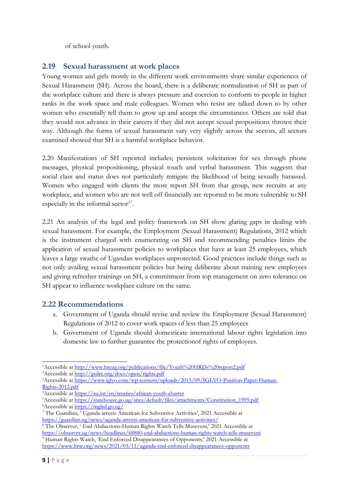of school youth.

### **2.19 Sexual harassment at work places**

Young women and girls mostly in the different work environments share similar experiences of Sexual Harassment (SH). Across the board, there is <sup>a</sup> deliberate normalization of SH as part of the workplace culture and there is always pressure and coercion to conform to people in higher ranks in the work space and male colleagues. Women who resist are talked down to by other women who essentially tell them to grow up and accept the circumstances. Others are told that they would not advance in their careers if they did not accept sexual propositions thrown their way. Although the forms of sexual harassment vary very slightly across the sectors, all sectors examined showed that SH is <sup>a</sup> harmful workplace behavior.

2.20 Manifestations of SH reported includes; persistent solicitation for sex through phone messages, physical propositioning, physical touch and verbal harassment. This suggests that social class and status does not particularly mitigate the likelihood of being sexually harassed. Women who engaged with clients the most report SH from that group, new recruits at any workplace, and women who are not well off financially are reported to be more vulnerable to SH especially in the informal sector<sup>17</sup>.

2.21 An analysis of the legal and policy framework on SH show glaring gaps in dealing with sexual harassment. For example, the Employment (Sexual Harassment) Regulations, 2012 which is the instrument charged with enumerating on SH and recommending penalties limits the application of sexual harassment policies to workplaces that have at least 25 employees, which leaves <sup>a</sup> large swathe of Ugandan workplaces unprotected. Good practices include things such as not only availing sexual harassment policies but being deliberate about training new employees and giving refresher trainings on SH, <sup>a</sup> commitment from top management on zero tolerance on SH appear to influence workplace culture on the same.

### **2.22 Recommendations**

- a. Government of Uganda should revise and review the Employment (Sexual Harassment) Regulations of 2012 to cover work spaces of less than 25 employees
- b. Government of Uganda should domesticate international labour rights legislation into domestic law to further guarantee the protectionof rights of employees.

<sup>&</sup>lt;sup>1</sup>Accessible at <http://www.hrcug.org/publications/file/Youth%20HRDs%20report2.pdf>

<sup>2</sup>Accessible at <http://gsdrc.org/docs/open/rights.pdf>

<sup>&</sup>lt;sup>3</sup>Accessible at [https://www.iglyo.com/wp-content/uploads/2015/09/IGLYO-Position-Paper-Human-](https://www.iglyo.com/wp-content/uploads/2015/09/IGLYO-Position-Paper-Human-Rights-2012.pdf)[Rights-2012.pdf](https://www.iglyo.com/wp-content/uploads/2015/09/IGLYO-Position-Paper-Human-Rights-2012.pdf)

<sup>4</sup>Accessible at <https://au.int/en/treaties/african-youth-charter>

<sup>5</sup>Accessible at [https://statehouse.go.ug/sites/default/files/attachments/Constitution\\_1995.pdf](https://statehouse.go.ug/sites/default/files/attachments/Constitution_1995.pdf)

<sup>6</sup>Accessible at <https://mglsd.go.ug/>

<sup>7</sup> The Guardian, ' Uganda arrests American for Subversive Activities', 2021 Accessible at <https://guardian.ng/news/uganda-arrests-american-for-subversive-activities/>

<sup>8</sup> The Observer, ' End Abductions-Human Rights Watch Tells Museveni,' 2021 Accessible at <https://observer.ug/news/headlines/68880-end-abductions-human-rights-watch-tells-museveni> <sup>9</sup> Human Rights Watch, 'End Enforced Disappearances of Opponents,' <sup>2021</sup> Accessible at